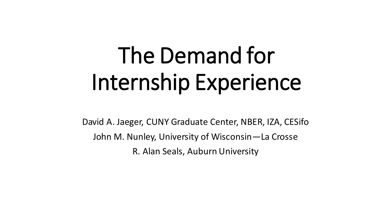# The Demand for Internship Experience

David A. Jaeger, CUNY Graduate Center, NBER, IZA, CESifo John M. Nunley, University of Wisconsin—La Crosse R. Alan Seals, Auburn University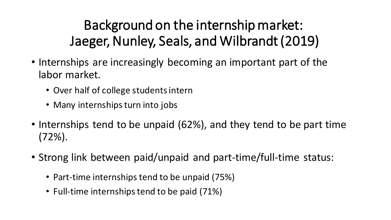### Background on the internship market: Jaeger, Nunley, Seals, and Wilbrandt (2019)

- Internships are increasingly becoming an important part of the labor market.
	- Over half of college students intern
	- Many internships turn into jobs
- Internships tend to be unpaid (62%), and they tend to be part time (72%).
- Strong link between paid/unpaid and part-time/full-time status:
	- Part-time internships tend to be unpaid (75%)
	- Full-time internships tend to be paid (71%)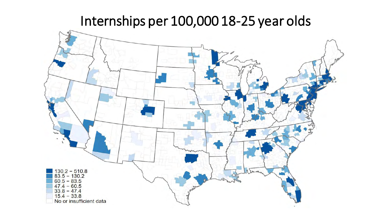#### Internships per 100,000 18-25 year olds

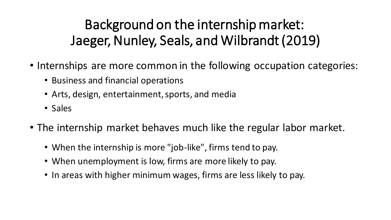### Background on the internship market: Jaeger, Nunley, Seals, and Wilbrandt (2019)

- Internships are more common in the following occupation categories:
	- Business and financial operations
	- Arts, design, entertainment, sports, and media
	- Sales
- The internship market behaves much like the regular labor market.
	- When the internship is more "job-like", firms tend to pay.
	- When unemployment is low, firms are more likely to pay.
	- In areas with higher minimum wages, firms are less likely to pay.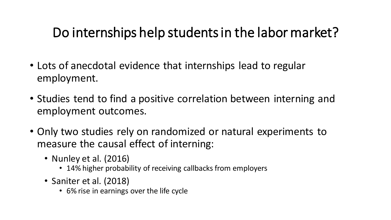#### Do internships help students in the labor market?

- Lots of anecdotal evidence that internships lead to regular employment.
- Studies tend to find a positive correlation between interning and employment outcomes.
- Only two studies rely on randomized or natural experiments to measure the causal effect of interning:
	- Nunley et al. (2016)
		- 14% higher probability of receiving callbacks from employers
	- Saniter et al. (2018)
		- 6% rise in earnings over the life cycle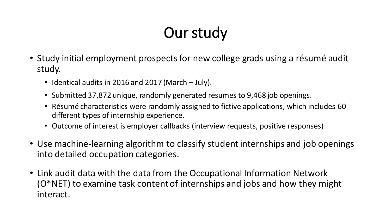### Our study

- Study initial employment prospects for new college grads using a résumé audit study.
	- Identical audits in 2016 and 2017 (March July).
	- Submitted 37,872 unique, randomly generated resumes to 9,468 job openings.
	- Résumé characteristics were randomly assigned to fictive applications, which includes 60 different types of internship experience.
	- Outcome of interest is employer callbacks (interview requests, positive responses)
- Use machine-learning algorithm to classify student internships and job openings into detailed occupation categories.
- Link audit data with the data from the Occupational Information Network (O\*NET) to examine task content of internships and jobs and how they might interact.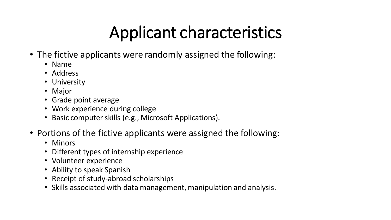# Applicant characteristics

- The fictive applicants were randomly assigned the following:
	- Name
	- Address
	- University
	- Major
	- Grade point average
	- Work experience during college
	- Basic computer skills (e.g., Microsoft Applications).
- Portions of the fictive applicants were assigned the following:
	- Minors
	- Different types of internship experience
	- Volunteer experience
	- Ability to speak Spanish
	- Receipt of study-abroad scholarships
	- Skills associated with data management, manipulation and analysis.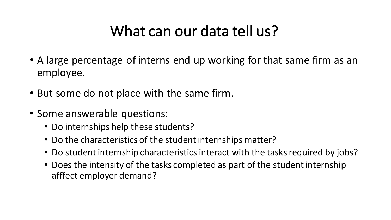### What can our data tell us?

- A large percentage of interns end up working for that same firm as an employee.
- But some do not place with the same firm.
- Some answerable questions:
	- Do internships help these students?
	- Do the characteristics of the student internships matter?
	- Do student internship characteristics interact with the tasks required by jobs?
	- Does the intensity of the tasks completed as part of the student internship afffect employer demand?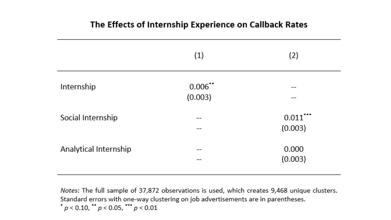#### The Effects of Internship Experience on Callback Rates

|                       | (1)                   | (2)                    |
|-----------------------|-----------------------|------------------------|
| Internship            | $0.006$ **<br>(0.003) | --                     |
| Social Internship     |                       | $0.011$ ***<br>(0.003) |
| Analytical Internship | ---                   | 0.000<br>(0.003)       |

Notes: The full sample of 37,872 observations is used, which creates 9,468 unique clusters. Standard errors with one-way clustering on job advertisements are in parentheses.  $\cdot$  p < 0.10,  $\cdot$  p < 0.05,  $\cdot\cdot\cdot$  p < 0.01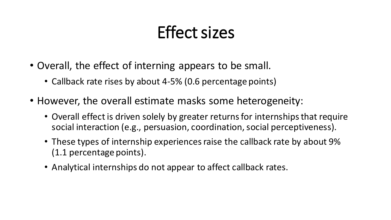# Effect sizes

- Overall, the effect of interning appears to be small.
	- Callback rate rises by about 4-5% (0.6 percentage points)
- However, the overall estimate masks some heterogeneity:
	- Overall effect is driven solely by greater returns for internships that require social interaction (e.g., persuasion, coordination, social perceptiveness).
	- These types of internship experiences raise the callback rate by about 9% (1.1 percentage points).
	- Analytical internships do not appear to affect callback rates.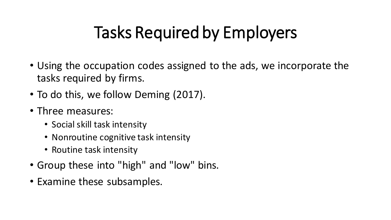# Tasks Required by Employers

- Using the occupation codes assigned to the ads, we incorporate the tasks required by firms.
- To do this, we follow Deming (2017).
- Three measures:
	- Social skill task intensity
	- Nonroutine cognitive task intensity
	- Routine task intensity
- Group these into "high" and "low" bins.
- Examine these subsamples.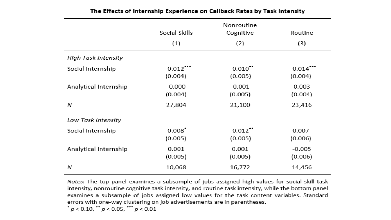|                       | Nonroutine                      |                                  |                     |
|-----------------------|---------------------------------|----------------------------------|---------------------|
|                       | Social Skills                   | Cognitive                        | Routine             |
|                       | (1)                             | (2)                              | (3)                 |
| High Task Intensity   |                                 |                                  |                     |
| Social Internship     | $0.012$<br>(0.004)              | $0.010$ <sup>**</sup><br>(0.005) | 0.014<br>(0.004)    |
| Analytical Internship | $-0.000$<br>(0.004)             | $-0.001$<br>(0.005)              | 0.003<br>(0.004)    |
| Ν                     | 27,804                          | 21,100                           | 23,416              |
| Low Task Intensity    |                                 |                                  |                     |
| Social Internship     | $0.008$ <sup>*</sup><br>(0.005) | $0.012$ <sup>**</sup><br>(0.005) | 0.007<br>(0.006)    |
| Analytical Internship | 0.001<br>(0.005)                | 0.001<br>(0.005)                 | $-0.005$<br>(0.006) |
| Ν                     | 10,068                          | 16,772                           | 14,456              |

#### The Effects of Internship Experience on Callback Rates by Task Intensity

Notes: The top panel examines a subsample of jobs assigned high values for social skill task intensity, nonroutine cognitive task intensity, and routine task intensity, while the bottom panel examines a subsample of jobs assigned low values for the task content variables. Standard errors with one-way clustering on job advertisements are in parentheses.

 $^{\star}$   $p < 0.10,$   $^{\star\star}$   $p < 0.05,$   $^{\star\star\star}$   $p < 0.01$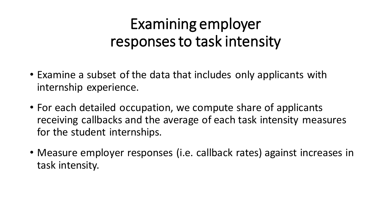### Examining employer responses to task intensity

- Examine a subset of the data that includes only applicants with internship experience.
- For each detailed occupation, we compute share of applicants receiving callbacks and the average of each task intensity measures for the student internships.
- Measure employer responses (i.e. callback rates) against increases in task intensity.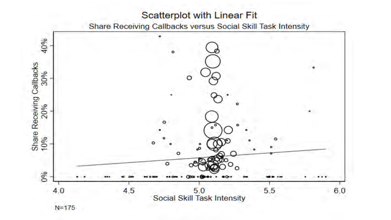#### **Scatterplot with Linear Fit**

Share Receiving Callbacks versus Social Skill Task Intensity

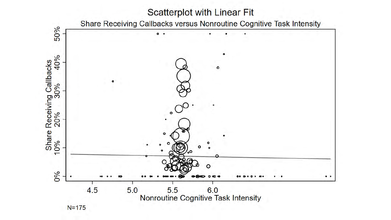#### Scatterplot with Linear Fit

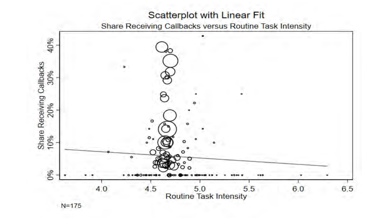#### **Scatterplot with Linear Fit**



 $N = 175$